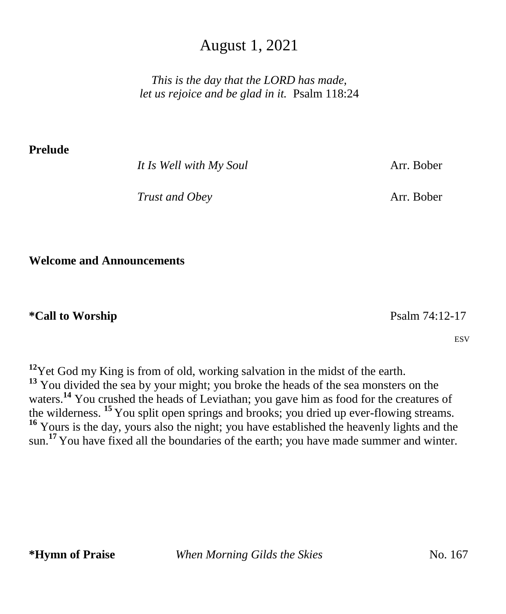## August 1, 2021

*This is the day that the LORD has made, let us rejoice and be glad in it.* Psalm 118:24

**Prelude** 

*It Is Well with My Soul* **Arr. Bober** 

*Trust and Obey* Arr. Bober

**Welcome and Announcements**

### **\*Call to Worship** Psalm 74:12-17

ESV

**<sup>12</sup>**Yet God my King is from of old, working salvation in the midst of the earth. <sup>13</sup> You divided the sea by your might; you broke the heads of the sea monsters on the waters.<sup>14</sup> You crushed the heads of Leviathan; you gave him as food for the creatures of the wilderness. **<sup>15</sup>** You split open springs and brooks; you dried up ever-flowing streams. **<sup>16</sup>** Yours is the day, yours also the night; you have established the heavenly lights and the sun.<sup>17</sup> You have fixed all the boundaries of the earth; you have made summer and winter.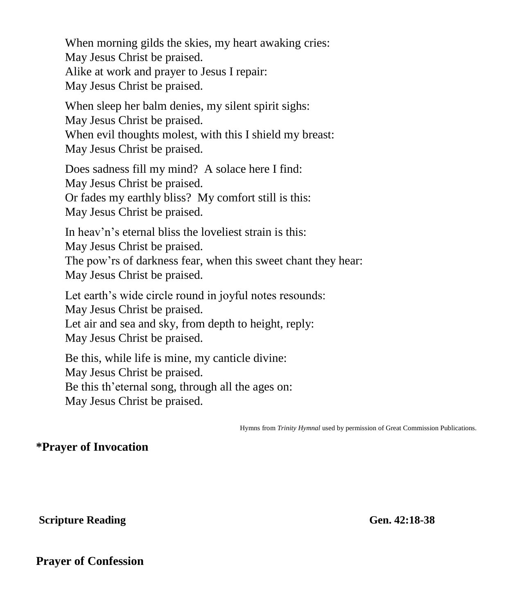When morning gilds the skies, my heart awaking cries: May Jesus Christ be praised. Alike at work and prayer to Jesus I repair: May Jesus Christ be praised.

When sleep her balm denies, my silent spirit sighs: May Jesus Christ be praised. When evil thoughts molest, with this I shield my breast: May Jesus Christ be praised.

Does sadness fill my mind? A solace here I find: May Jesus Christ be praised. Or fades my earthly bliss? My comfort still is this: May Jesus Christ be praised.

In heav'n's eternal bliss the loveliest strain is this: May Jesus Christ be praised. The pow'rs of darkness fear, when this sweet chant they hear: May Jesus Christ be praised.

Let earth's wide circle round in joyful notes resounds: May Jesus Christ be praised. Let air and sea and sky, from depth to height, reply: May Jesus Christ be praised.

Be this, while life is mine, my canticle divine: May Jesus Christ be praised. Be this th'eternal song, through all the ages on: May Jesus Christ be praised.

Hymns from *Trinity Hymnal* used by permission of Great Commission Publications.

### **\*Prayer of Invocation**

**Scripture Reading Gen. 42:18-38** 

**Prayer of Confession**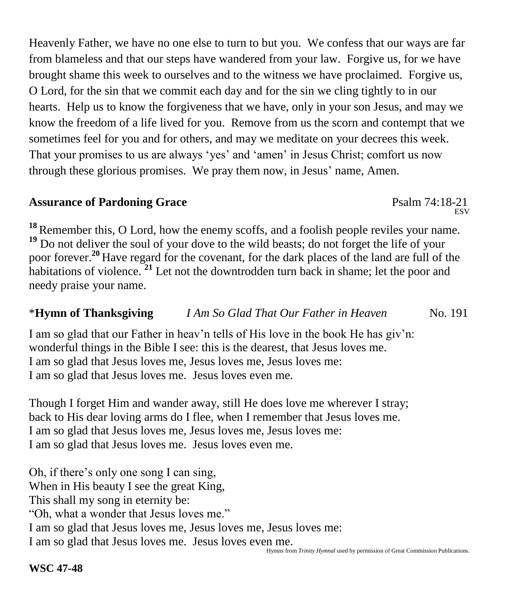Heavenly Father, we have no one else to turn to but you. We confess that our ways are far from blameless and that our steps have wandered from your law. Forgive us, for we have brought shame this week to ourselves and to the witness we have proclaimed. Forgive us, O Lord, for the sin that we commit each day and for the sin we cling tightly to in our hearts. Help us to know the forgiveness that we have, only in your son Jesus, and may we know the freedom of a life lived for you. Remove from us the scorn and contempt that we sometimes feel for you and for others, and may we meditate on your decrees this week. That your promises to us are always 'yes' and 'amen' in Jesus Christ; comfort us now through these glorious promises. We pray them now, in Jesus' name, Amen.

### Assurance of Pardoning Grace **Particle 120 and Psalm 74:18-21**

<sup>18</sup> Remember this, O Lord, how the enemy scoffs, and a foolish people reviles your name. **<sup>19</sup>** Do not deliver the soul of your dove to the wild beasts; do not forget the life of your poor forever.**<sup>20</sup>** Have regard for the covenant, for the dark places of the land are full of the habitations of violence. **<sup>21</sup>** Let not the downtrodden turn back in shame; let the poor and needy praise your name.

## \***Hymn of Thanksgiving** *I Am So Glad That Our Father in Heaven* No. 191

I am so glad that our Father in heav'n tells of His love in the book He has giv'n: wonderful things in the Bible I see: this is the dearest, that Jesus loves me. I am so glad that Jesus loves me, Jesus loves me, Jesus loves me: I am so glad that Jesus loves me. Jesus loves even me.

Though I forget Him and wander away, still He does love me wherever I stray; back to His dear loving arms do I flee, when I remember that Jesus loves me. I am so glad that Jesus loves me, Jesus loves me, Jesus loves me: I am so glad that Jesus loves me. Jesus loves even me.

Oh, if there's only one song I can sing, When in His beauty I see the great King, This shall my song in eternity be: "Oh, what a wonder that Jesus loves me." I am so glad that Jesus loves me, Jesus loves me, Jesus loves me: I am so glad that Jesus loves me. Jesus loves even me.

ESV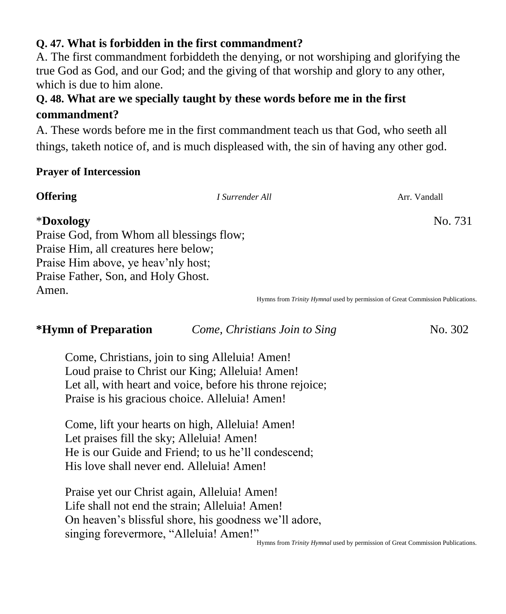## **Q. 47. What is forbidden in the first commandment?**

A. The first commandment forbiddeth the denying, or not worshiping and glorifying the true God as God, and our God; and the giving of that worship and glory to any other, which is due to him alone.

## **Q. 48. What are we specially taught by these words before me in the first commandment?**

A. These words before me in the first commandment teach us that God, who seeth all things, taketh notice of, and is much displeased with, the sin of having any other god.

### **Prayer of Intercession**

## **Offering** Arr. Vandall *I Surrender All Arr. Vandall* \***Doxology** No. 731 Praise God, from Whom all blessings flow; Praise Him, all creatures here below; Praise Him above, ye heav'nly host; Praise Father, Son, and Holy Ghost. Amen. Hymns from *Trinity Hymnal* used by permission of Great Commission Publications.

**\*Hymn of Preparation** *Come, Christians Join to Sing* No. 302

Come, Christians, join to sing Alleluia! Amen! Loud praise to Christ our King; Alleluia! Amen! Let all, with heart and voice, before his throne rejoice; Praise is his gracious choice. Alleluia! Amen!

Come, lift your hearts on high, Alleluia! Amen! Let praises fill the sky; Alleluia! Amen! He is our Guide and Friend; to us he'll condescend; His love shall never end. Alleluia! Amen!

Praise yet our Christ again, Alleluia! Amen! Life shall not end the strain; Alleluia! Amen! On heaven's blissful shore, his goodness we'll adore, singing forevermore, "Alleluia! Amen!"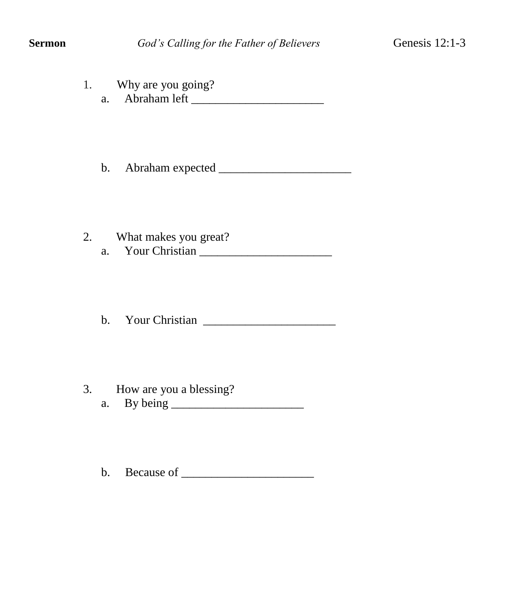1. Why are you going? a. Abraham left \_\_\_\_\_\_\_\_\_\_\_\_\_\_\_\_\_\_\_\_\_\_

b. Abraham expected \_\_\_\_\_\_\_\_\_\_\_\_\_\_\_\_\_\_\_\_\_\_

2. What makes you great? a. Your Christian \_\_\_\_\_\_\_\_\_\_\_\_\_\_\_\_\_\_\_\_\_\_

b. Your Christian \_\_\_\_\_\_\_\_\_\_\_\_\_\_\_\_\_\_\_\_\_\_

- 3. How are you a blessing?
	- a. By being \_\_\_\_\_\_\_\_\_\_\_\_\_\_\_\_\_\_\_\_\_\_

b. Because of \_\_\_\_\_\_\_\_\_\_\_\_\_\_\_\_\_\_\_\_\_\_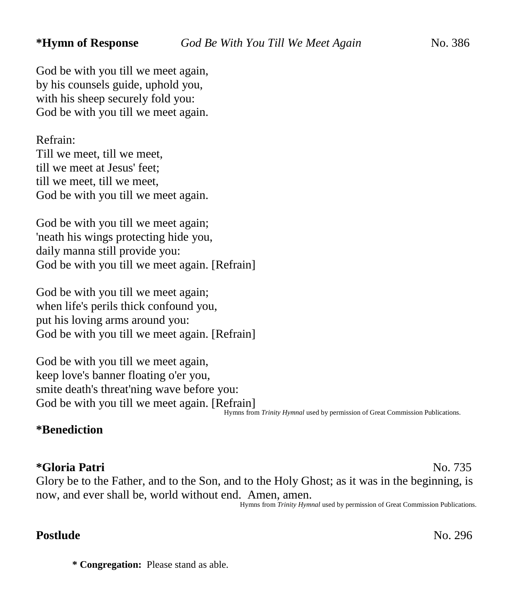God be with you till we meet again, by his counsels guide, uphold you, with his sheep securely fold you: God be with you till we meet again.

Refrain: Till we meet, till we meet, till we meet at Jesus' feet; till we meet, till we meet, God be with you till we meet again.

God be with you till we meet again; 'neath his wings protecting hide you, daily manna still provide you: God be with you till we meet again. [Refrain]

God be with you till we meet again; when life's perils thick confound you, put his loving arms around you: God be with you till we meet again. [Refrain]

God be with you till we meet again, keep love's banner floating o'er you, smite death's threat'ning wave before you: God be with you till we meet again. [Refrain]

Hymns from *Trinity Hymnal* used by permission of Great Commission Publications. 

#### **\*Benediction**

#### **\*Gloria Patri** No. 735

Glory be to the Father, and to the Son, and to the Holy Ghost; as it was in the beginning, is now, and ever shall be, world without end. Amen, amen.

Hymns from *Trinity Hymnal* used by permission of Great Commission Publications.

#### **Postlude** No. 296

**\* Congregation:** Please stand as able.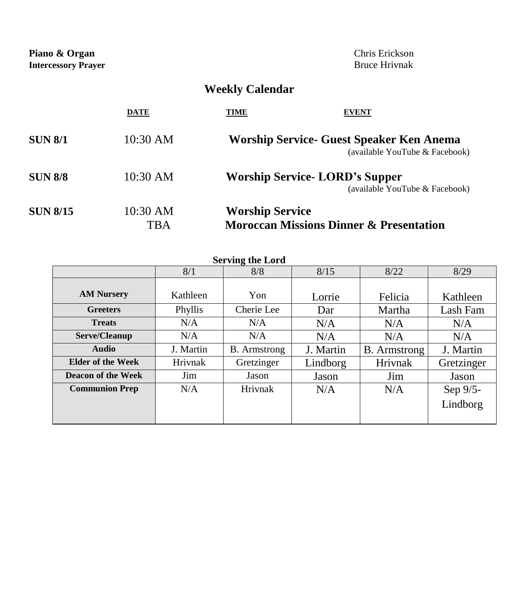**Piano & Organ** Chris Erickson<br> **Intercessory Prayer** Bruce Hrivnak **Intercessory Prayer** 

## **Weekly Calendar**

|                 | <b>DATE</b>     | TIME<br><b>EVENT</b>                                                              |
|-----------------|-----------------|-----------------------------------------------------------------------------------|
| <b>SUN 8/1</b>  | 10:30 AM        | <b>Worship Service- Guest Speaker Ken Anema</b><br>(available YouTube & Facebook) |
| <b>SUN 8/8</b>  | 10:30 AM        | <b>Worship Service-LORD's Supper</b><br>(available YouTube & Facebook)            |
| <b>SUN 8/15</b> | 10:30 AM<br>TBA | <b>Worship Service</b><br><b>Moroccan Missions Dinner &amp; Presentation</b>      |

| <b>Serving the Lord</b>  |           |                     |           |                     |            |  |  |  |
|--------------------------|-----------|---------------------|-----------|---------------------|------------|--|--|--|
|                          | 8/1       | 8/8                 | 8/15      | 8/22                | 8/29       |  |  |  |
|                          |           |                     |           |                     |            |  |  |  |
| <b>AM Nursery</b>        | Kathleen  | Yon                 | Lorrie    | Felicia             | Kathleen   |  |  |  |
| <b>Greeters</b>          | Phyllis   | Cherie Lee          | Dar       | Martha              | Lash Fam   |  |  |  |
| <b>Treats</b>            | N/A       | N/A                 | N/A       | N/A                 | N/A        |  |  |  |
| Serve/Cleanup            | N/A       | N/A                 | N/A       | N/A                 | N/A        |  |  |  |
| Audio                    | J. Martin | <b>B.</b> Armstrong | J. Martin | <b>B.</b> Armstrong | J. Martin  |  |  |  |
| <b>Elder of the Week</b> | Hrivnak   | Gretzinger          | Lindborg  | Hrivnak             | Gretzinger |  |  |  |
| Deacon of the Week       | Jim       | Jason               | Jason     | Jim                 | Jason      |  |  |  |
| <b>Communion Prep</b>    | N/A       | Hrivnak             | N/A       | N/A                 | Sep 9/5-   |  |  |  |
|                          |           |                     |           |                     | Lindborg   |  |  |  |
|                          |           |                     |           |                     |            |  |  |  |